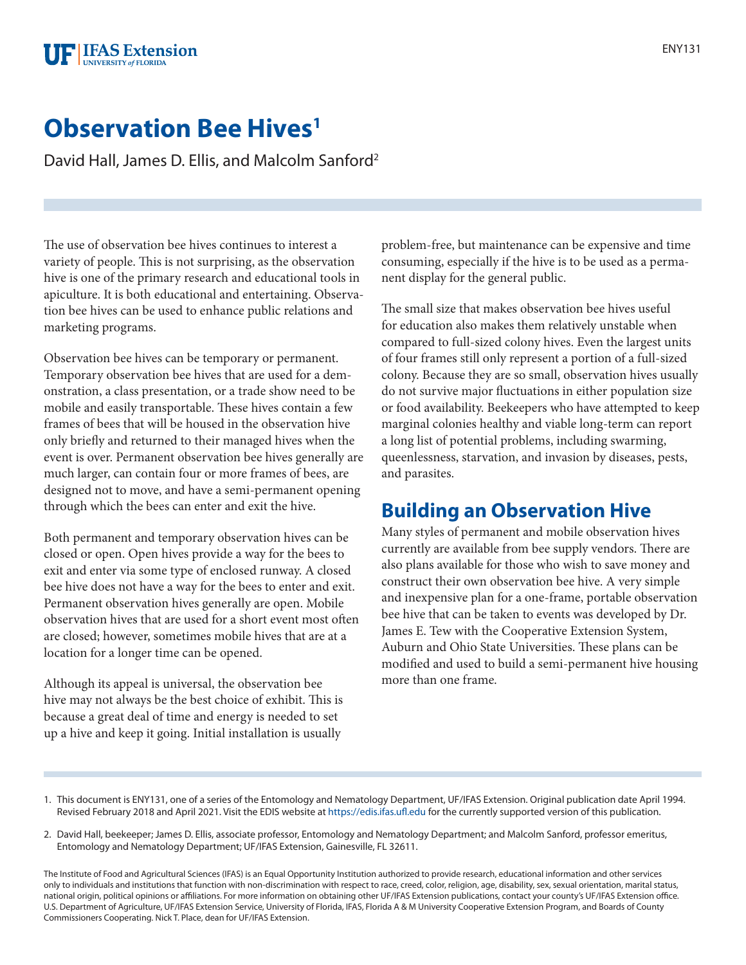

## **Observation Bee Hives1**

David Hall, James D. Ellis, and Malcolm Sanford2

The use of observation bee hives continues to interest a variety of people. This is not surprising, as the observation hive is one of the primary research and educational tools in apiculture. It is both educational and entertaining. Observation bee hives can be used to enhance public relations and marketing programs.

Observation bee hives can be temporary or permanent. Temporary observation bee hives that are used for a demonstration, a class presentation, or a trade show need to be mobile and easily transportable. These hives contain a few frames of bees that will be housed in the observation hive only briefly and returned to their managed hives when the event is over. Permanent observation bee hives generally are much larger, can contain four or more frames of bees, are designed not to move, and have a semi-permanent opening through which the bees can enter and exit the hive.

Both permanent and temporary observation hives can be closed or open. Open hives provide a way for the bees to exit and enter via some type of enclosed runway. A closed bee hive does not have a way for the bees to enter and exit. Permanent observation hives generally are open. Mobile observation hives that are used for a short event most often are closed; however, sometimes mobile hives that are at a location for a longer time can be opened.

Although its appeal is universal, the observation bee hive may not always be the best choice of exhibit. This is because a great deal of time and energy is needed to set up a hive and keep it going. Initial installation is usually

problem-free, but maintenance can be expensive and time consuming, especially if the hive is to be used as a permanent display for the general public.

The small size that makes observation bee hives useful for education also makes them relatively unstable when compared to full-sized colony hives. Even the largest units of four frames still only represent a portion of a full-sized colony. Because they are so small, observation hives usually do not survive major fluctuations in either population size or food availability. Beekeepers who have attempted to keep marginal colonies healthy and viable long-term can report a long list of potential problems, including swarming, queenlessness, starvation, and invasion by diseases, pests, and parasites.

## **Building an Observation Hive**

Many styles of permanent and mobile observation hives currently are available from bee supply vendors. There are also plans available for those who wish to save money and construct their own observation bee hive. A very simple and inexpensive plan for a one-frame, portable observation bee hive that can be taken to events was developed by Dr. James E. Tew with the Cooperative Extension System, Auburn and Ohio State Universities. These plans can be modified and used to build a semi-permanent hive housing more than one frame.

The Institute of Food and Agricultural Sciences (IFAS) is an Equal Opportunity Institution authorized to provide research, educational information and other services only to individuals and institutions that function with non-discrimination with respect to race, creed, color, religion, age, disability, sex, sexual orientation, marital status, national origin, political opinions or affiliations. For more information on obtaining other UF/IFAS Extension publications, contact your county's UF/IFAS Extension office. U.S. Department of Agriculture, UF/IFAS Extension Service, University of Florida, IFAS, Florida A & M University Cooperative Extension Program, and Boards of County Commissioners Cooperating. Nick T. Place, dean for UF/IFAS Extension.

<sup>1.</sup> This document is ENY131, one of a series of the Entomology and Nematology Department, UF/IFAS Extension. Original publication date April 1994. Revised February 2018 and April 2021. Visit the EDIS website at<https://edis.ifas.ufl.edu>for the currently supported version of this publication.

<sup>2.</sup> David Hall, beekeeper; James D. Ellis, associate professor, Entomology and Nematology Department; and Malcolm Sanford, professor emeritus, Entomology and Nematology Department; UF/IFAS Extension, Gainesville, FL 32611.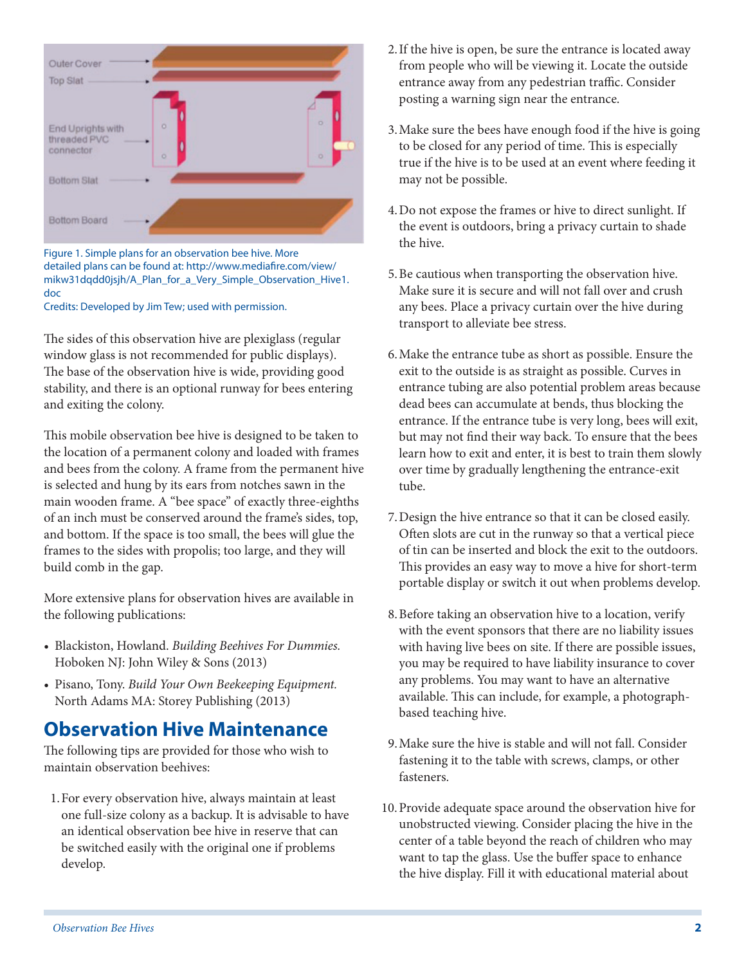

Figure 1. Simple plans for an observation bee hive. More detailed plans can be found at: [http://www.mediafire.com/view/](http://www.mediafire.com/view/mikw31dqdd0jsjh/A_Plan_for_a_Very_Simple_Observation_Hive1.doc) [mikw31dqdd0jsjh/A\\_Plan\\_for\\_a\\_Very\\_Simple\\_Observation\\_Hive1.](http://www.mediafire.com/view/mikw31dqdd0jsjh/A_Plan_for_a_Very_Simple_Observation_Hive1.doc) [doc](http://www.mediafire.com/view/mikw31dqdd0jsjh/A_Plan_for_a_Very_Simple_Observation_Hive1.doc)

Credits: Developed by Jim Tew; used with permission.

The sides of this observation hive are plexiglass (regular window glass is not recommended for public displays). The base of the observation hive is wide, providing good stability, and there is an optional runway for bees entering and exiting the colony.

This mobile observation bee hive is designed to be taken to the location of a permanent colony and loaded with frames and bees from the colony. A frame from the permanent hive is selected and hung by its ears from notches sawn in the main wooden frame. A "bee space" of exactly three-eighths of an inch must be conserved around the frame's sides, top, and bottom. If the space is too small, the bees will glue the frames to the sides with propolis; too large, and they will build comb in the gap.

More extensive plans for observation hives are available in the following publications:

- Blackiston, Howland. *Building Beehives For Dummies.*  Hoboken NJ: John Wiley & Sons (2013)
- Pisano, Tony. *Build Your Own Beekeeping Equipment.* North Adams MA: Storey Publishing (2013)

## **Observation Hive Maintenance**

The following tips are provided for those who wish to maintain observation beehives:

1.For every observation hive, always maintain at least one full-size colony as a backup. It is advisable to have an identical observation bee hive in reserve that can be switched easily with the original one if problems develop.

- 2.If the hive is open, be sure the entrance is located away from people who will be viewing it. Locate the outside entrance away from any pedestrian traffic. Consider posting a warning sign near the entrance.
- 3.Make sure the bees have enough food if the hive is going to be closed for any period of time. This is especially true if the hive is to be used at an event where feeding it may not be possible.
- 4.Do not expose the frames or hive to direct sunlight. If the event is outdoors, bring a privacy curtain to shade the hive.
- 5.Be cautious when transporting the observation hive. Make sure it is secure and will not fall over and crush any bees. Place a privacy curtain over the hive during transport to alleviate bee stress.
- 6.Make the entrance tube as short as possible. Ensure the exit to the outside is as straight as possible. Curves in entrance tubing are also potential problem areas because dead bees can accumulate at bends, thus blocking the entrance. If the entrance tube is very long, bees will exit, but may not find their way back. To ensure that the bees learn how to exit and enter, it is best to train them slowly over time by gradually lengthening the entrance-exit tube.
- 7.Design the hive entrance so that it can be closed easily. Often slots are cut in the runway so that a vertical piece of tin can be inserted and block the exit to the outdoors. This provides an easy way to move a hive for short-term portable display or switch it out when problems develop.
- 8.Before taking an observation hive to a location, verify with the event sponsors that there are no liability issues with having live bees on site. If there are possible issues, you may be required to have liability insurance to cover any problems. You may want to have an alternative available. This can include, for example, a photographbased teaching hive.
- 9.Make sure the hive is stable and will not fall. Consider fastening it to the table with screws, clamps, or other fasteners.
- 10.Provide adequate space around the observation hive for unobstructed viewing. Consider placing the hive in the center of a table beyond the reach of children who may want to tap the glass. Use the buffer space to enhance the hive display. Fill it with educational material about